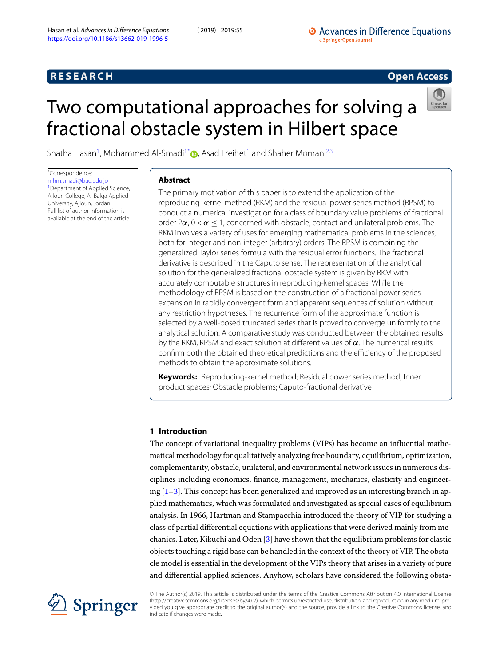# **R E S E A R C H Open Access**

# <span id="page-0-0"></span>Two computational approaches for solving a fractional obstacle system in Hilbert space



Shatha Hasan<sup>[1](#page-15-0)</sup>, Mohammed Al-Smadi<sup>1[\\*](#page-0-0)</sup><sup>1</sup>[,](http://orcid.org/0000-0003-0226-7254) Asad Freihet<sup>1</sup> and Shaher Momani<sup>[2](#page-15-1)[,3](#page-15-2)</sup>

\*Correspondence: [mhm.smadi@bau.edu.jo](mailto:mhm.smadi@bau.edu.jo)

<sup>1</sup> Department of Applied Science, Ajloun College, Al-Balqa Applied University, Ajloun, Jordan Full list of author information is available at the end of the article

# **Abstract**

The primary motivation of this paper is to extend the application of the reproducing-kernel method (RKM) and the residual power series method (RPSM) to conduct a numerical investigation for a class of boundary value problems of fractional order 2 $\alpha$ , 0 <  $\alpha$  < 1, concerned with obstacle, contact and unilateral problems. The RKM involves a variety of uses for emerging mathematical problems in the sciences, both for integer and non-integer (arbitrary) orders. The RPSM is combining the generalized Taylor series formula with the residual error functions. The fractional derivative is described in the Caputo sense. The representation of the analytical solution for the generalized fractional obstacle system is given by RKM with accurately computable structures in reproducing-kernel spaces. While the methodology of RPSM is based on the construction of a fractional power series expansion in rapidly convergent form and apparent sequences of solution without any restriction hypotheses. The recurrence form of the approximate function is selected by a well-posed truncated series that is proved to converge uniformly to the analytical solution. A comparative study was conducted between the obtained results by the RKM, RPSM and exact solution at different values of  $\alpha$ . The numerical results confirm both the obtained theoretical predictions and the efficiency of the proposed methods to obtain the approximate solutions.

**Keywords:** Reproducing-kernel method; Residual power series method; Inner product spaces; Obstacle problems; Caputo-fractional derivative

# **1 Introduction**

The concept of variational inequality problems (VIPs) has become an influential mathematical methodology for qualitatively analyzing free boundary, equilibrium, optimization, complementarity, obstacle, unilateral, and environmental network issues in numerous disciplines including economics, finance, management, mechanics, elasticity and engineering  $[1-3]$  $[1-3]$ . This concept has been generalized and improved as an interesting branch in applied mathematics, which was formulated and investigated as special cases of equilibrium analysis. In 1966, Hartman and Stampacchia introduced the theory of VIP for studying a class of partial differential equations with applications that were derived mainly from mechanics. Later, Kikuchi and Oden[[3\]](#page-15-4) have shown that the equilibrium problems for elastic objects touching a rigid base can be handled in the context of the theory of VIP. The obstacle model is essential in the development of the VIPs theory that arises in a variety of pure and differential applied sciences. Anyhow, scholars have considered the following obsta-



© The Author(s) 2019. This article is distributed under the terms of the Creative Commons Attribution 4.0 International License (http://creativecommons.org/licenses/by/4.0/), which permits unrestricted use, distribution, and reproduction in any medium, provided you give appropriate credit to the original author(s) and the source, provide a link to the Creative Commons license, and indicate if changes were made.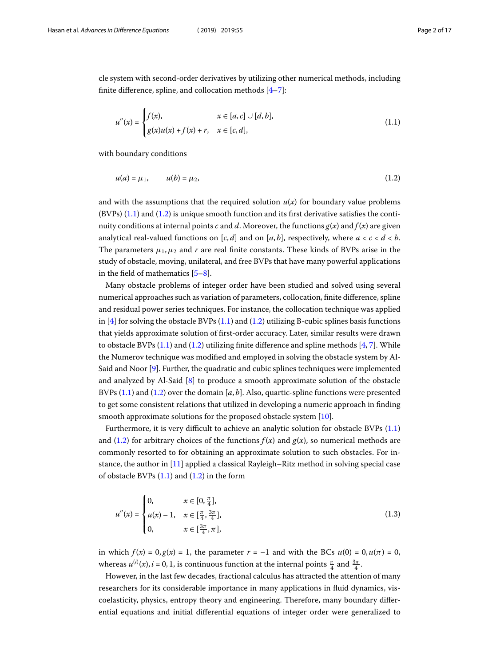cle system with second-order derivatives by utilizing other numerical methods, including finite difference, spline, and collocation methods [\[4](#page-15-5)[–7\]](#page-15-6):

<span id="page-1-1"></span><span id="page-1-0"></span>
$$
u''(x) = \begin{cases} f(x), & x \in [a, c] \cup [d, b], \\ g(x)u(x) + f(x) + r, & x \in [c, d], \end{cases}
$$
(1.1)

with boundary conditions

$$
u(a) = \mu_1, \qquad u(b) = \mu_2,\tag{1.2}
$$

and with the assumptions that the required solution  $u(x)$  for boundary value problems  $(BVPs)$  [\(1.1](#page-1-0))and ([1.2\)](#page-1-1) is unique smooth function and its first derivative satisfies the continuity conditions at internal points c and d. Moreover, the functions  $g(x)$  and  $f(x)$  are given analytical real-valued functions on  $[c, d]$  and on  $[a, b]$ , respectively, where  $a < c < d < b$ . The parameters  $\mu_1, \mu_2$  and r are real finite constants. These kinds of BVPs arise in the study of obstacle, moving, unilateral, and free BVPs that have many powerful applications in the field of mathematics  $[5-8]$  $[5-8]$ .

Many obstacle problems of integer order have been studied and solved using several numerical approaches such as variation of parameters, collocation, finite difference, spline and residual power series techniques. For instance, the collocation technique was applied in $[4]$  $[4]$  for solving the obstacle BVPs  $(1.1)$  $(1.1)$  and  $(1.2)$  utilizing B-cubic splines basis functions that yields approximate solution of first-order accuracy. Later, similar results were drawn toobstacle BVPs  $(1.1)$  and  $(1.2)$  utilizing finite difference and spline methods  $[4, 7]$  $[4, 7]$  $[4, 7]$  $[4, 7]$ . While the Numerov technique was modified and employed in solving the obstacle system by Al-Said and Noor[[9\]](#page-15-9). Further, the quadratic and cubic splines techniques were implemented and analyzed by Al-Said [\[8](#page-15-8)] to produce a smooth approximate solution of the obstacle BVPs $(1.1)$  $(1.1)$  and  $(1.2)$  $(1.2)$  over the domain  $[a, b]$ . Also, quartic-spline functions were presented to get some consistent relations that utilized in developing a numeric approach in finding smooth approximate solutions for the proposed obstacle system [\[10](#page-15-10)].

Furthermore, it is very difficult to achieve an analytic solution for obstacle BVPs([1.1](#page-1-0)) and([1.2\)](#page-1-1) for arbitrary choices of the functions  $f(x)$  and  $g(x)$ , so numerical methods are commonly resorted to for obtaining an approximate solution to such obstacles. For instance, the author in[[11\]](#page-15-11) applied a classical Rayleigh–Ritz method in solving special case ofobstacle BVPs  $(1.1)$  $(1.1)$  and  $(1.2)$  $(1.2)$  in the form

$$
u''(x) = \begin{cases} 0, & x \in [0, \frac{\pi}{4}], \\ u(x) - 1, & x \in [\frac{\pi}{4}, \frac{3\pi}{4}], \\ 0, & x \in [\frac{3\pi}{4}, \pi], \end{cases}
$$
(1.3)

in which  $f(x) = 0, g(x) = 1$ , the parameter  $r = -1$  and with the BCs  $u(0) = 0, u(\pi) = 0$ , whereas  $u^{(i)}(x)$ ,  $i = 0, 1$ , is continuous function at the internal points  $\frac{\pi}{4}$  and  $\frac{3\pi}{4}$ .

However, in the last few decades, fractional calculus has attracted the attention of many researchers for its considerable importance in many applications in fluid dynamics, viscoelasticity, physics, entropy theory and engineering. Therefore, many boundary differential equations and initial differential equations of integer order were generalized to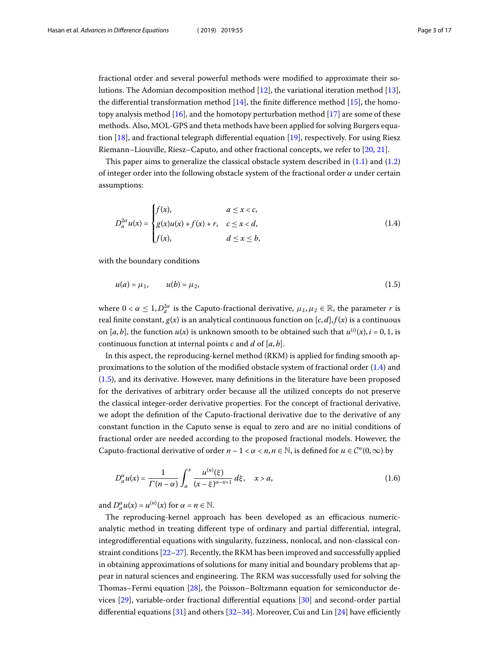fractional order and several powerful methods were modified to approximate their solutions. The Adomian decomposition method [\[12](#page-15-12)], the variational iteration method [\[13\]](#page-15-13), thedifferential transformation method  $[14]$  $[14]$  $[14]$ , the finite difference method  $[15]$  $[15]$ , the homotopyanalysis method  $[16]$ , and the homotopy perturbation method  $[17]$  $[17]$  $[17]$  are some of these methods. Also, MOL-GPS and theta methods have been applied for solving Burgers equation[[18](#page-15-18)], and fractional telegraph differential equation [\[19](#page-15-19)], respectively. For using Riesz Riemann–Liouville, Riesz–Caputo, and other fractional concepts, we refer to[[20,](#page-15-20) [21\]](#page-15-21).

This paper aims to generalize the classical obstacle system described in  $(1.1)$  and  $(1.2)$ of integer order into the following obstacle system of the fractional order  $\alpha$  under certain assumptions:

<span id="page-2-1"></span><span id="page-2-0"></span>
$$
D_a^{2\alpha} u(x) = \begin{cases} f(x), & a \le x < c, \\ g(x)u(x) + f(x) + r, & c \le x < d, \\ f(x), & d \le x \le b, \end{cases}
$$
(1.4)

with the boundary conditions

$$
u(a) = \mu_1, \qquad u(b) = \mu_2,\tag{1.5}
$$

where  $0 < \alpha \leq 1$ ,  $D_a^{2\alpha}$  is the Caputo-fractional derivative,  $\mu_1, \mu_2 \in \mathbb{R}$ , the parameter r is real finite constant,  $g(x)$  is an analytical continuous function on  $[c, d], f(x)$  is a continuous on [a, b], the function  $u(x)$  is unknown smooth to be obtained such that  $u^{(i)}(x)$ ,  $i = 0, 1$ , is continuous function at internal points  $c$  and  $d$  of  $[a, b]$ .

In this aspect, the reproducing-kernel method (RKM) is applied for finding smooth approximations to the solution of the modified obstacle system of fractional order([1.4\)](#page-2-0) and ([1.5\)](#page-2-1), and its derivative. However, many definitions in the literature have been proposed for the derivatives of arbitrary order because all the utilized concepts do not preserve the classical integer-order derivative properties. For the concept of fractional derivative, we adopt the definition of the Caputo-fractional derivative due to the derivative of any constant function in the Caputo sense is equal to zero and are no initial conditions of fractional order are needed according to the proposed fractional models. However, the Caputo-fractional derivative of order  $n - 1 < \alpha < n, n \in \mathbb{N}$ , is defined for  $u \in C^n(0, \infty)$  by

$$
D_a^{\alpha} u(x) = \frac{1}{\Gamma(n-\alpha)} \int_a^x \frac{u^{(n)}(\xi)}{(x-\xi)^{\alpha-n+1}} d\xi, \quad x > a,
$$
\n(1.6)

and  $D_{a}^{\alpha}u(x) = u^{(n)}(x)$  for  $\alpha = n \in \mathbb{N}$ .

The reproducing-kernel approach has been developed as an efficacious numericanalytic method in treating different type of ordinary and partial differential, integral, integrodifferential equations with singularity, fuzziness, nonlocal, and non-classical constraint conditions[[22](#page-16-0)[–27](#page-16-1)]. Recently, the RKM has been improved and successfully applied in obtaining approximations of solutions for many initial and boundary problems that appear in natural sciences and engineering. The RKM was successfully used for solving the Thomas–Fermi equation [\[28](#page-16-2)], the Poisson–Boltzmann equation for semiconductor devices[[29\]](#page-16-3), variable-order fractional differential equations[[30\]](#page-16-4) and second-order partial differential equations[[31\]](#page-16-5) and others [\[32–](#page-16-6)[34\]](#page-16-7). Moreover, Cui and Lin[[24\]](#page-16-8) have efficiently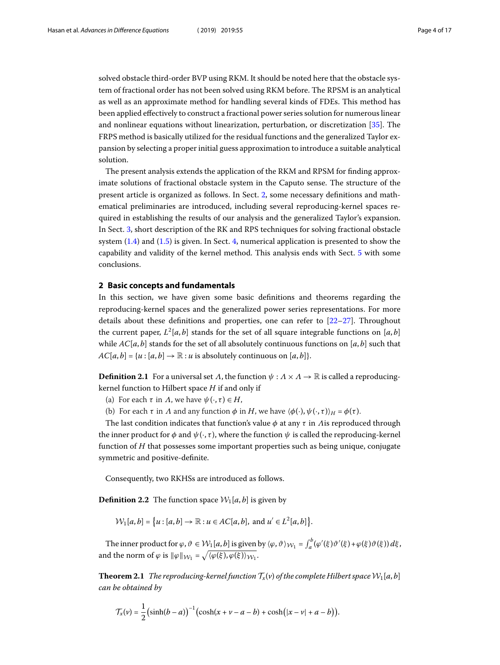solved obstacle third-order BVP using RKM. It should be noted here that the obstacle system of fractional order has not been solved using RKM before. The RPSM is an analytical as well as an approximate method for handling several kinds of FDEs. This method has been applied effectively to construct a fractional power series solution for numerous linear and nonlinear equations without linearization, perturbation, or discretization[[35\]](#page-16-9). The FRPS method is basically utilized for the residual functions and the generalized Taylor expansion by selecting a proper initial guess approximation to introduce a suitable analytical solution.

<span id="page-3-0"></span>The present analysis extends the application of the RKM and RPSM for finding approximate solutions of fractional obstacle system in the Caputo sense. The structure of the present article is organized as follows. In Sect. [2](#page-3-0), some necessary definitions and mathematical preliminaries are introduced, including several reproducing-kernel spaces required in establishing the results of our analysis and the generalized Taylor's expansion. In Sect. [3,](#page-5-0) short description of the RK and RPS techniques for solving fractional obstacle system [\(1.4](#page-2-0)) and([1.5\)](#page-2-1) is given. In Sect. [4,](#page-11-0) numerical application is presented to show the capability and validity of the kernel method. This analysis ends with Sect. [5](#page-14-0) with some conclusions.

#### **2 Basic concepts and fundamentals**

In this section, we have given some basic definitions and theorems regarding the reproducing-kernel spaces and the generalized power series representations. For more details about these definitions and properties, one can refer to[[22](#page-16-0)[–27](#page-16-1)]. Throughout the current paper,  $L^2[a,b]$  stands for the set of all square integrable functions on  $[a,b]$ while  $AC[a, b]$  stands for the set of all absolutely continuous functions on [a, b] such that  $AC[a, b] = \{u : [a, b] \rightarrow \mathbb{R} : u \text{ is absolutely continuous on } [a, b]\}.$ 

**Definition 2.1** For a universal set  $\Lambda$ , the function  $\psi : \Lambda \times \Lambda \to \mathbb{R}$  is called a reproducingkernel function to Hilbert space  $H$  if and only if

- (a) For each  $\tau$  in  $\Lambda$ , we have  $\psi(\cdot, \tau) \in H$ ,
- (b) For each  $\tau$  in  $\Lambda$  and any function  $\phi$  in  $H$ , we have  $\langle \phi(\cdot), \psi(\cdot, \tau) \rangle_H = \phi(\tau)$ .

The last condition indicates that function's value  $\phi$  at any  $\tau$  in *A* is reproduced through the inner product for  $\phi$  and  $\psi(\cdot, \tau)$ , where the function  $\psi$  is called the reproducing-kernel function of  $H$  that possesses some important properties such as being unique, conjugate symmetric and positive-definite.

Consequently, two RKHSs are introduced as follows.

**Definition 2.2** The function space  $W_1[a, b]$  is given by

 $\mathcal{W}_1[a,b] = \big\{ u : [a,b] \to \mathbb{R} : u \in AC[a,b], \text{ and } u' \in L^2[a,b] \big\}.$ 

The inner product for  $\varphi, \vartheta \in \mathcal{W}_1[a, b]$  is given by  $\langle \varphi, \vartheta \rangle_{\mathcal{W}_1} = \int_a^b (\varphi'(\xi) \vartheta'(\xi) + \varphi(\xi) \vartheta(\xi)) d\xi$ , and the norm of  $\varphi$  is  $\|\varphi\|_{\mathcal{W}_1} = \sqrt{\langle \varphi(\xi), \varphi(\xi) \rangle_{\mathcal{W}_1}}$ .

**Theorem 2.1** The reproducing-kernel function  $T_x(v)$  of the complete Hilbert space  $W_1[a, b]$ can be obtained by

$$
\mathcal{T}_x(\nu) = \frac{1}{2}(\sinh(b-a))^{-1}(\cosh(x+\nu-a-b)+\cosh(|x-\nu|+a-b)).
$$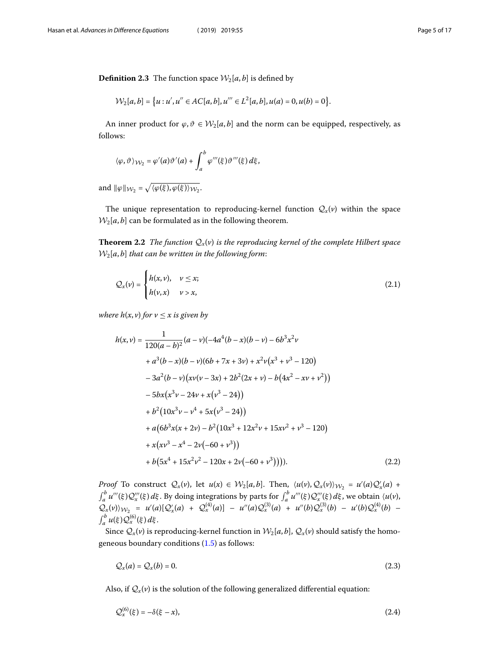**Definition 2.3** The function space  $W_2[a, b]$  is defined by

$$
\mathcal{W}_2[a,b] = \{u : u', u'' \in AC[a,b], u''' \in L^2[a,b], u(a) = 0, u(b) = 0\}.
$$

An inner product for  $\varphi, \vartheta \in \mathcal{W}_2[a, b]$  and the norm can be equipped, respectively, as follows:

$$
\langle \varphi, \vartheta \rangle_{\mathcal{W}_2} = \varphi'(a) \vartheta'(a) + \int_a^b \varphi'''(\xi) \vartheta'''(\xi) d\xi,
$$

and  $\|\varphi\|_{\mathcal{W}_2} = \sqrt{\langle \varphi(\xi), \varphi(\xi) \rangle_{\mathcal{W}_2}}.$ 

The unique representation to reproducing-kernel function  $Q_x(v)$  within the space  $W_2[a, b]$  can be formulated as in the following theorem.

**Theorem 2.2** The function  $Q_x(v)$  is the reproducing kernel of the complete Hilbert space  $W_2[a, b]$  that can be written in the following form:

$$
\mathcal{Q}_x(\nu) = \begin{cases} h(x,\nu), & \nu \leq x; \\ h(\nu,x) & \nu > x, \end{cases}
$$
 (2.1)

where  $h(x, v)$  for  $v \leq x$  is given by

$$
h(x,v) = \frac{1}{120(a-b)^2}(a-v)(-4a^4(b-x)(b-v)-6b^3x^2v
$$
  
+a<sup>3</sup>(b-x)(b-v)(6b+7x+3v) + x<sup>2</sup>v(x<sup>3</sup> + v<sup>3</sup> - 120)  
-3a<sup>2</sup>(b-v)(xv(v-3x) + 2b<sup>2</sup>(2x + v) - b(4x<sup>2</sup> - xv + v<sup>2</sup>))  
-5bx(x<sup>3</sup>v - 24v + x(v<sup>3</sup> - 24))  
+b<sup>2</sup>(10x<sup>3</sup>v - v<sup>4</sup> + 5x(v<sup>3</sup> - 24))  
+a(6b<sup>3</sup>x(x + 2v) - b<sup>2</sup>(10x<sup>3</sup> + 12x<sup>2</sup>v + 15xv<sup>2</sup> + v<sup>3</sup> - 120)  
+x(xv<sup>3</sup> - x<sup>4</sup> - 2v(-60 + v<sup>3</sup>))  
+ b(5x<sup>4</sup> + 15x<sup>2</sup>v<sup>2</sup> - 120x + 2v(-60 + v<sup>3</sup>)))). (2.2)

*Proof* To construct  $Q_x(v)$ , let  $u(x) \in W_2[a, b]$ . Then,  $\langle u(v), Q_x(v) \rangle_{W_2} = u'(a)Q'_x(a) +$  $\int_a^b u'''(\xi) Q'''_x(\xi) d\xi$ . By doing integrations by parts for  $\int_a^b u'''(\xi) Q'''_x(\xi) d\xi$ , we obtain  $\langle u(v),$  $Q_x(v)\rangle_{W_2} = u'(a)[Q'_x(a) + Q_x^{(4)}(a)] - u''(a)Q_x^{(3)}(a) + u''(b)Q_x^{(3)}(b) - u'(b)Q_x^{(4)}(b) \int_a^b u(\xi) Q_x^{(6)}(\xi) d\xi.$ 

Since  $Q_x(v)$  is reproducing-kernel function in  $\mathcal{W}_2[a, b]$ ,  $\mathcal{Q}_x(v)$  should satisfy the homogeneous boundary conditions [\(1.5](#page-2-1)) as follows:

<span id="page-4-0"></span>
$$
\mathcal{Q}_x(a) = \mathcal{Q}_x(b) = 0. \tag{2.3}
$$

Also, if  $Q_x(v)$  is the solution of the following generalized differential equation:

$$
\mathcal{Q}_x^{(6)}(\xi) = -\delta(\xi - x),\tag{2.4}
$$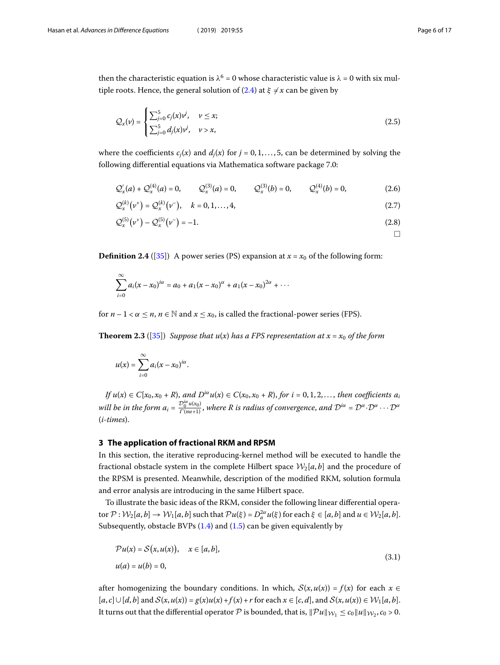$\Box$ 

then the characteristic equation is  $\lambda^6 = 0$  whose characteristic value is  $\lambda = 0$  with six multipleroots. Hence, the general solution of  $(2.4)$  $(2.4)$  at  $\xi \neq x$  can be given by

$$
Q_x(\nu) = \begin{cases} \sum_{j=0}^5 c_j(x)\nu^j, & \nu \le x; \\ \sum_{j=0}^5 d_j(x)\nu^j, & \nu > x, \end{cases}
$$
 (2.5)

where the coefficients  $c_i(x)$  and  $d_i(x)$  for  $j = 0, 1, \ldots, 5$ , can be determined by solving the following differential equations via Mathematica software package 7.0:

$$
Q'_x(a) + Q_x^{(4)}(a) = 0,
$$
  $Q_x^{(3)}(a) = 0,$   $Q_x^{(3)}(b) = 0,$   $Q_x^{(4)}(b) = 0,$  (2.6)

$$
\mathcal{Q}_x^{(k)}(v^+) = \mathcal{Q}_x^{(k)}(v^-), \quad k = 0, 1, ..., 4,
$$
\n(2.7)

$$
\mathcal{Q}_x^{(5)}(v^+) - \mathcal{Q}_x^{(5)}(v^-) = -1.
$$
\n(2.8)

**Definition 2.4** ([\[35\]](#page-16-9)) A power series (PS) expansion at  $x = x_0$  of the following form:

$$
\sum_{i=0}^{\infty} a_i(x-x_0)^{i\alpha} = a_0 + a_1(x-x_0)^{\alpha} + a_1(x-x_0)^{2\alpha} + \cdots
$$

for  $n-1 < \alpha \leq n$ ,  $n \in \mathbb{N}$  and  $x \leq x_0$ , is called the fractional-power series (FPS).

**Theorem 2.3** ([\[35](#page-16-9)]) Suppose that  $u(x)$  has a FPS representation at  $x = x_0$  of the form

$$
u(x)=\sum_{i=0}^{\infty}a_i(x-x_0)^{i\alpha}.
$$

<span id="page-5-0"></span>If  $u(x) \in C[x_0, x_0 + R)$ , and  $D^{i\alpha}u(x) \in C(x_0, x_0 + R)$ , for  $i = 0, 1, 2, \ldots$ , then coefficients  $a_i$ will be in the form  $a_i=\frac{{\cal D}_0^{i\alpha}u(x_0)}{\Gamma(n\alpha+1)},$  where R is radius of convergence, and  ${\cal D}^{i\alpha}={\cal D}^{\alpha}\cdot{\cal D}^{\alpha}\cdots{\cal D}^{\alpha}$ (i-times).

#### **3 The application of fractional RKM and RPSM**

In this section, the iterative reproducing-kernel method will be executed to handle the fractional obstacle system in the complete Hilbert space  $W_2[a, b]$  and the procedure of the RPSM is presented. Meanwhile, description of the modified RKM, solution formula and error analysis are introducing in the same Hilbert space.

To illustrate the basic ideas of the RKM, consider the following linear differential operator  $\mathcal{P}: \mathcal{W}_2[a,b] \to \mathcal{W}_1[a,b]$  such that  $\mathcal{P}u(\xi) = D_a^{2\alpha}u(\xi)$  for each  $\xi \in [a,b]$  and  $u \in \mathcal{W}_2[a,b]$ . Subsequently,obstacle BVPs  $(1.4)$  $(1.4)$  and  $(1.5)$  $(1.5)$  can be given equivalently by

<span id="page-5-1"></span>
$$
\mathcal{P}u(x) = \mathcal{S}(x, u(x)), \quad x \in [a, b],
$$
  
 
$$
u(a) = u(b) = 0,
$$
 (3.1)

after homogenizing the boundary conditions. In which,  $S(x, u(x)) = f(x)$  for each  $x \in$  $[a, c] \cup [d, b]$  and  $S(x, u(x)) = g(x)u(x) + f(x) + r$  for each  $x \in [c, d]$ , and  $S(x, u(x)) \in \mathcal{W}_1[a, b]$ . It turns out that the differential operator  $\cal P$  is bounded, that is,  $\|\cal P u\|_{W_1}\leq c_0\|u\|_{W_2}$ ,  $c_0>0$ .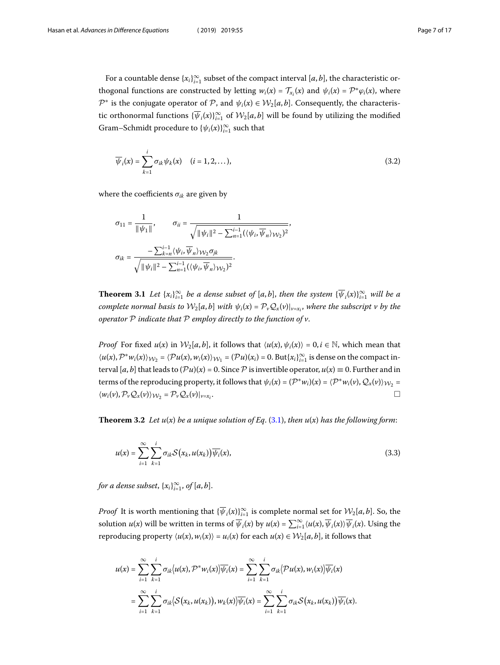For a countable dense  $\{x_i\}_{i=1}^{\infty}$  subset of the compact interval  $[a, b]$ , the characteristic orthogonal functions are constructed by letting  $w_i(x) = \mathcal{T}_{x_i}(x)$  and  $\psi_i(x) = \mathcal{P}^* \varphi_i(x)$ , where  $\mathcal{P}^*$  is the conjugate operator of  $\mathcal{P}$ , and  $\psi_i(x) \in \mathcal{W}_2[a,b]$ . Consequently, the characteristic orthonormal functions  $\{\overline{\psi}_i(x)\}_{i=1}^{\infty}$  of  $\mathcal{W}_2[a, b]$  will be found by utilizing the modified Gram–Schmidt procedure to  $\{\psi_i(x)\}_{i=1}^{\infty}$  such that

$$
\overline{\psi}_i(x) = \sum_{k=1}^i \sigma_{ik} \psi_k(x) \quad (i = 1, 2, \dots),
$$
\n(3.2)

where the coefficients  $\sigma_{ik}$  are given by

$$
\begin{aligned} \sigma_{11} &= \frac{1}{\|\psi_1\|}, \qquad \sigma_{ii} = \frac{1}{\sqrt{\|\psi_i\|^2 - \sum_{n=1}^{i-1} (\langle \psi_i, \overline{\psi}_n \rangle_{\mathcal{W}_2})^2}}, \\ \sigma_{ik} &= \frac{-\sum_{k=n}^{i-1} \langle \psi_i, \overline{\psi}_n \rangle_{\mathcal{W}_2} \sigma_{jk}}{\sqrt{\|\psi_i\|^2 - \sum_{n=1}^{i-1} (\langle \psi_i, \overline{\psi}_n \rangle_{\mathcal{W}_2})^2}}. \end{aligned}
$$

**Theorem 3.1** Let  $\{x_i\}_{i=1}^{\infty}$  be a dense subset of  $[a,b]$ , then the system  $\{\overline{\psi}_i(x)\}_{i=1}^{\infty}$  will be a complete normal basis to  $\mathcal{W}_2[a,b]$  with  $\psi_i(x) = \mathcal{P}_\nu \mathcal{Q}_x(\nu)|_{\nu=x_i}$ , where the subscript v by the operator  $P$  indicate that  $P$  employ directly to the function of  $v$ .

<span id="page-6-1"></span>*Proof* For fixed  $u(x)$  in  $\mathcal{W}_2[a, b]$ , it follows that  $\langle u(x), \psi_i(x) \rangle = 0, i \in \mathbb{N}$ , which mean that  $\langle u(x), {\mathcal P}^* w_i(x)\rangle_{{\mathcal W}_2} = \langle {\mathcal P} u(x), w_i(x)\rangle_{{\mathcal W}_1} = ({\mathcal P} u)(x_i) = 0.$  But $\{x_i\}_{i=1}^\infty$  is dense on the compact interval [a, b] that leads to  $(\mathcal{P}u)(x) = 0$ . Since  $\mathcal P$  is invertible operator,  $u(x) \equiv 0$ . Further and in terms of the reproducing property, it follows that  $\psi_i(x) = (\mathcal{P}^*w_i)(x) = \langle \mathcal{P}^*w_i(v), \mathcal{Q}_x(v) \rangle_{\mathcal{W}_2} =$  $\langle w_i(v), \mathcal{P}_v \mathcal{Q}_x(v) \rangle_{\mathcal{W}_2} = \mathcal{P}_v \mathcal{Q}_x(v)|_{v=x_i}.$ . The contract of the contract of  $\Box$ 

**Theorem 3.2** Let  $u(x)$  be a unique solution of Eq. [\(3.1](#page-5-1)), then  $u(x)$  has the following form:

<span id="page-6-0"></span>
$$
u(x) = \sum_{i=1}^{\infty} \sum_{k=1}^{i} \sigma_{ik} S(x_k, u(x_k)) \overline{\psi_i}(x),
$$
\n(3.3)

for a dense subset,  $\{x_i\}_{i=1}^\infty$ , of  $[a,b]$ .

*Proof* It is worth mentioning that  $\{\overline{\psi}_i(x)\}_{i=1}^{\infty}$  is complete normal set for  $\mathcal{W}_2[a,b]$ . So, the solution  $u(x)$  will be written in terms of  $\overline{\psi}_i(x)$  by  $u(x) = \sum_{i=1}^{\infty} \langle u(x), \overline{\psi}_i(x) \rangle \overline{\psi}_i(x)$ . Using the reproducing property  $\langle u(x), w_i(x) \rangle = u_i(x)$  for each  $u(x) \in \mathcal{W}_2[a, b]$ , it follows that

$$
u(x) = \sum_{i=1}^{\infty} \sum_{k=1}^{i} \sigma_{ik} \langle u(x), \mathcal{P}^* w_i(x) \rangle \overline{\psi_i}(x) = \sum_{i=1}^{\infty} \sum_{k=1}^{i} \sigma_{ik} \langle \mathcal{P} u(x), w_i(x) \rangle \overline{\psi_i}(x)
$$
  
= 
$$
\sum_{i=1}^{\infty} \sum_{k=1}^{i} \sigma_{ik} \langle \mathcal{S}(x_k, u(x_k)), w_k(x) \rangle \overline{\psi_i}(x) = \sum_{i=1}^{\infty} \sum_{k=1}^{i} \sigma_{ik} \mathcal{S}(x_k, u(x_k)) \overline{\psi_i}(x).
$$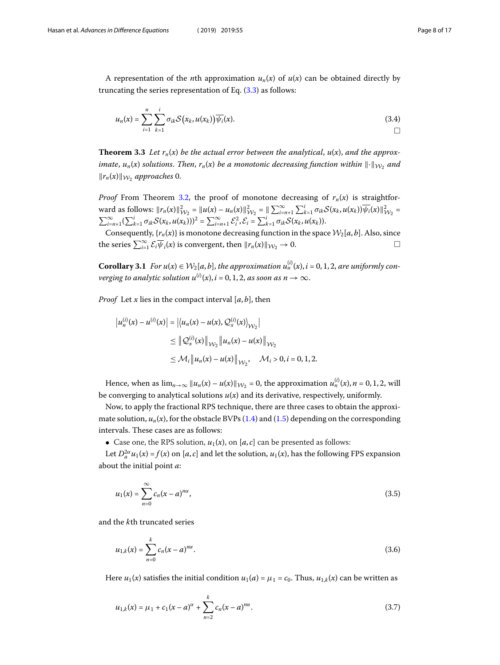A representation of the *n*th approximation  $u_n(x)$  of  $u(x)$  can be obtained directly by truncatingthe series representation of Eq.  $(3.3)$  $(3.3)$  as follows:

$$
u_n(x) = \sum_{i=1}^n \sum_{k=1}^i \sigma_{ik} \mathcal{S}\big(x_k, u(x_k)\big) \overline{\psi_i}(x).
$$
 (3.4)

**Theorem 3.3** Let  $r_n(x)$  be the actual error between the analytical,  $u(x)$ , and the approximate,  $u_n(x)$  solutions. Then,  $r_n(x)$  be a monotonic decreasing function within  $\lVert \cdot \rVert_{\mathcal{W}_2}$  and  $||r_n(x)||_{\mathcal{W}_2}$  approaches 0.

*Proof* From Theorem [3.2,](#page-6-1) the proof of monotone decreasing of  $r_n(x)$  is straightforward as follows:  $||r_n(x)||^2_{\mathcal{W}_2} = ||u(x) - u_n(x)||^2_{\mathcal{W}_2} = ||\sum_{i=n+1}^{\infty} \sum_{k=1}^{i} \sigma_{ik} \mathcal{S}(x_k, u(x_k)) \overline{\psi_i}(x)||^2_{\mathcal{W}_2} =$  $\sum_{i=n+1}^{\infty} (\sum_{k=1}^{i} \sigma_{ik} \mathcal{S}(x_k, u(x_k)))^2 = \sum_{i=n+1}^{\infty} \mathcal{E}_i^2$ ,  $\mathcal{E}_i = \sum_{k=1}^{i} \sigma_{ik} \mathcal{S}(x_k, u(x_k))$ .

Consequently,  $\{r_n(x)\}$  is monotone decreasing function in the space  $\mathcal{W}_2[a, b]$ . Also, since the series  $\sum_{i=1}^{\infty} \mathcal{E}_i \overline{\psi}_i(x)$  is convergent, then  $||r_n(x)||_{\mathcal{W}_2} \to 0$ .

**Corollary 3.1** For  $u(x) \in \mathcal{W}_2[a, b]$ , the approximation  $u_n^{(i)}(x)$ ,  $i = 0, 1, 2$ , are uniformly converging to analytic solution  $u^{(i)}(x),$   $i=0,1,2,$  as soon as  $n\rightarrow\infty.$ 

*Proof* Let x lies in the compact interval  $[a, b]$ , then

$$
\begin{aligned} \left| u_n^{(i)}(x) - u^{(i)}(x) \right| &= \left| \left\langle u_n(x) - u(x), \mathcal{Q}_x^{(i)}(x) \right\rangle_{\mathcal{W}_2} \right| \\ &\leq \left\| \mathcal{Q}_x^{(i)}(x) \right\|_{\mathcal{W}_2} \left\| u_n(x) - u(x) \right\|_{\mathcal{W}_2} \\ &\leq \mathcal{M}_i \left\| u_n(x) - u(x) \right\|_{\mathcal{W}_2}, \quad \mathcal{M}_i > 0, i = 0, 1, 2. \end{aligned}
$$

Hence, when as  $\lim_{n\to\infty} ||u_n(x) - u(x)||_{\mathcal{W}_2} = 0$ , the approximation  $u_n^{(i)}(x)$ ,  $n = 0, 1, 2$ , will be converging to analytical solutions  $u(x)$  and its derivative, respectively, uniformly.

Now, to apply the fractional RPS technique, there are three cases to obtain the approximatesolution,  $u_n(x)$ , for the obstacle BVPs ([1.4\)](#page-2-0) and [\(1.5](#page-2-1)) depending on the corresponding intervals. These cases are as follows:

• Case one, the RPS solution,  $u_1(x)$ , on [a, c] can be presented as follows:

Let  $D_a^{2\alpha}u_1(x) = f(x)$  on [a, c] and let the solution,  $u_1(x)$ , has the following FPS expansion about the initial point a:

$$
u_1(x) = \sum_{n=0}^{\infty} c_n (x - a)^{n\alpha},
$$
\n(3.5)

and the kth truncated series

<span id="page-7-0"></span>
$$
u_{1,k}(x) = \sum_{n=0}^{k} c_n (x - a)^{n\alpha}.
$$
\n(3.6)

Here  $u_1(x)$  satisfies the initial condition  $u_1(a) = \mu_1 = c_0$ . Thus,  $u_{1,k}(x)$  can be written as

$$
u_{1,k}(x) = \mu_1 + c_1(x-a)^{\alpha} + \sum_{n=2}^{k} c_n(x-a)^{n\alpha}.
$$
 (3.7)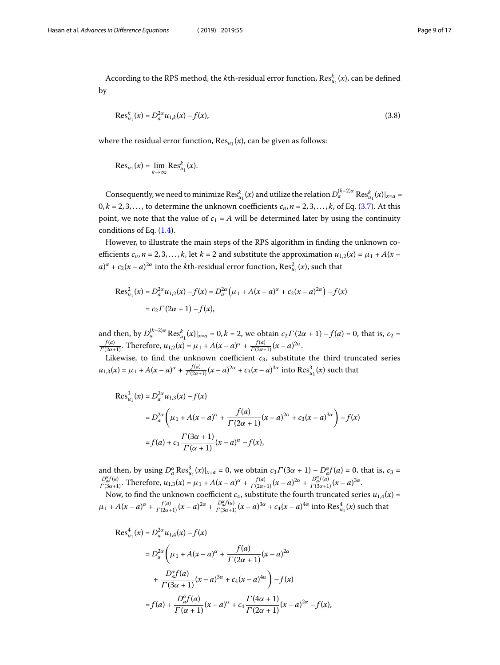According to the RPS method, the *k*th-residual error function,  $\operatorname{Res}^k_{u_1}(x)$ , can be defined by

$$
\text{Res}_{u_1}^k(x) = D_a^{2\alpha} u_{1,k}(x) - f(x),\tag{3.8}
$$

where the residual error function,  $\text{Res}_{u_1}(x)$ , can be given as follows:

$$
\operatorname{Res}_{u_1}(x) = \lim_{k \to \infty} \operatorname{Res}_{u_1}^k(x).
$$

Consequently, we need to minimize  $\mathrm{Res}^k_{u_1}(x)$  and utilize the relation  $D_a^{(k-2)\alpha}\mathrm{Res}^k_{u_1}(x)|_{x=a} =$  $0, k = 2, 3, \ldots$ , to determine the unknown coefficients  $c_n$ ,  $n = 2, 3, \ldots, k$ , of Eq. [\(3.7](#page-7-0)). At this point, we note that the value of  $c_1 = A$  will be determined later by using the continuity conditions of Eq.([1.4\)](#page-2-0).

However, to illustrate the main steps of the RPS algorithm in finding the unknown coefficients  $c_n$ ,  $n = 2, 3, ..., k$ , let  $k = 2$  and substitute the approximation  $u_{1,2}(x) = \mu_1 + A(x (a)^{\alpha} + c_2(x-a)^{2\alpha}$  into the *k*th-residual error function,  $\text{Res}_{u_1}^2(x)$ , such that

$$
\text{Res}_{u_1}^2(x) = D_a^{2\alpha} u_{1,2}(x) - f(x) = D_a^{2\alpha} (\mu_1 + A(x - a)^{\alpha} + c_2 (x - a)^{2\alpha}) - f(x)
$$
  
=  $c_2 \Gamma(2\alpha + 1) - f(x)$ ,

and then, by  $D_a^{(k-2)\alpha}$  Res $_{u_1}^k(x)|_{x=a} = 0, k = 2$ , we obtain  $c_2\Gamma(2\alpha + 1) - f(a) = 0$ , that is,  $c_2 =$  $\frac{f(a)}{\Gamma(2\alpha+1)}$ . Therefore,  $u_{1,2}(x) = \mu_1 + A(x-a)^{\alpha} + \frac{f(a)}{\Gamma(2\alpha+1)}(x-a)^{2\alpha}$ .

Likewise, to find the unknown coefficient  $c_3$ , substitute the third truncated series  $u_{1,3}(x) = \mu_1 + A(x-a)^{\alpha} + \frac{f(a)}{\Gamma(2\alpha+1)}(x-a)^{2\alpha} + c_3(x-a)^{3\alpha}$  into  $\text{Res}_{u_1}^3(x)$  such that

$$
Res_{u_1}^{3}(x) = D_a^{2\alpha} u_{1,3}(x) - f(x)
$$
  
=  $D_a^{2\alpha} \left( \mu_1 + A(x - a)^{\alpha} + \frac{f(a)}{\Gamma(2\alpha + 1)} (x - a)^{2\alpha} + c_3 (x - a)^{3\alpha} \right) - f(x)$   
=  $f(a) + c_3 \frac{\Gamma(3\alpha + 1)}{\Gamma(\alpha + 1)} (x - a)^{\alpha} - f(x),$ 

and then, by using  $D_a^{\alpha} \text{Res}_{u_1}^3(x)|_{x=a} = 0$ , we obtain  $c_3 \Gamma(3\alpha + 1) - D_a^{\alpha} f(a) = 0$ , that is,  $c_3 = \frac{D_a^{\alpha} f(a)}{\Gamma(3\alpha+1)}$ . Therefore,  $u_{1,3}(x) = \mu_1 + A(x-a)^{\alpha} + \frac{f(a)}{\Gamma(2\alpha+1)}(x-a)^{2\alpha} + \frac{D_a^{\alpha} f(a)}{\Gamma(3\alpha+1)}(x-a)^{3\alpha}$ .

Now, to find the unknown coefficient  $c_4$ , substitute the fourth truncated series  $u_{1,4}(x)$  =  $\mu_1 + A(x-a)^{\alpha} + \frac{f(a)}{\Gamma(2\alpha+1)}(x-a)^{2\alpha} + \frac{D_{a}^{\alpha}(a)}{\Gamma(3\alpha+1)}(x-a)^{3\alpha} + c_4(x-a)^{4\alpha}$  into  $\text{Res}_{u_1}^4(x)$  such that

$$
Res_{u_1}^{4}(x) = D_{a}^{2\alpha} u_{1,4}(x) - f(x)
$$
  
=  $D_{a}^{2\alpha} \left( \mu_1 + A(x - a)^{\alpha} + \frac{f(a)}{\Gamma(2\alpha + 1)} (x - a)^{2\alpha} + \frac{D_{a}^{\alpha} f(a)}{\Gamma(3\alpha + 1)} (x - a)^{3\alpha} + c_4 (x - a)^{4\alpha} \right) - f(x)$   
=  $f(a) + \frac{D_{a}^{\alpha} f(a)}{\Gamma(\alpha + 1)} (x - a)^{\alpha} + c_4 \frac{\Gamma(4\alpha + 1)}{\Gamma(2\alpha + 1)} (x - a)^{2\alpha} - f(x),$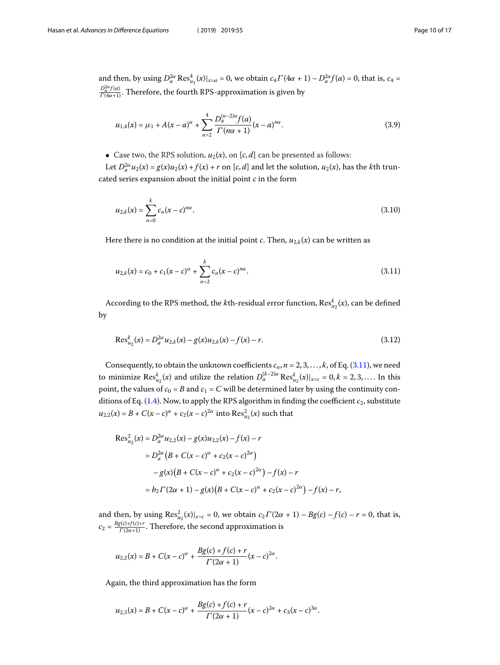and then, by using  $D_a^{2\alpha} \text{Res}_{u_1}^4(x)|_{x=a} = 0$ , we obtain  $c_4 \Gamma(4\alpha + 1) - D_a^{2\alpha} f(a) = 0$ , that is,  $c_4 =$  $\frac{D_a^{2\alpha} f(a)}{\Gamma(4\alpha+1)}$ . Therefore, the fourth RPS-approximation is given by

$$
u_{1,4}(x) = \mu_1 + A(x - a)^{\alpha} + \sum_{n=2}^{4} \frac{D_a^{(n-2)\alpha} f(a)}{\Gamma(n\alpha + 1)} (x - a)^{n\alpha}.
$$
 (3.9)

• Case two, the RPS solution,  $u_2(x)$ , on [c, d] can be presented as follows:

Let  $D_a^{2\alpha}u_2(x) = g(x)u_2(x) + f(x) + r$  on  $[c, d]$  and let the solution,  $u_2(x)$ , has the *k*th truncated series expansion about the initial point  $c$  in the form

<span id="page-9-0"></span>
$$
u_{2,k}(x) = \sum_{n=0}^{k} c_n (x - c)^{n\alpha}.
$$
\n(3.10)

Here there is no condition at the initial point *c*. Then,  $u_{2,k}(x)$  can be written as

$$
u_{2,k}(x) = c_0 + c_1(x - c)^{\alpha} + \sum_{n=2}^{k} c_n(x - c)^{n\alpha}.
$$
\n(3.11)

According to the RPS method, the *k*th-residual error function,  $\operatorname{Res}_{u_2}^k(x)$ , can be defined by

$$
\text{Res}_{u_2}^k(x) = D_a^{2\alpha} u_{2,k}(x) - g(x)u_{2,k}(x) - f(x) - r.
$$
\n(3.12)

Consequently, to obtain the unknown coefficients  $c_n$ ,  $n = 2, 3, ..., k$ , of Eq. [\(3.11](#page-9-0)), we need to minimize  $\text{Res}_{u_2}^k(x)$  and utilize the relation  $D_a^{(k-2)\alpha} \text{Res}_{u_2}^k(x)|_{x=c} = 0, k = 2, 3, ....$  In this point, the values of  $c_0 = B$  and  $c_1 = C$  will be determined later by using the continuity conditions of Eq.  $(1.4)$ . Now, to apply the RPS algorithm in finding the coefficient  $c_2$ , substitute  $u_{2,2}(x) = B + C(x - c)^{\alpha} + c_2(x - c)^{2\alpha}$  into  $\text{Res}_{u_2}^2(x)$  such that

$$
Res_{u_2}^{2}(x) = D_{a}^{2\alpha} u_{2,2}(x) - g(x)u_{2,2}(x) - f(x) - r
$$
  
=  $D_{a}^{2\alpha} (B + C(x - c)^{\alpha} + c_{2}(x - c)^{2\alpha})$   
 $- g(x) (B + C(x - c)^{\alpha} + c_{2}(x - c)^{2\alpha}) - f(x) - r$   
=  $b_2 \Gamma(2\alpha + 1) - g(x) (B + C(x - c)^{\alpha} + c_{2}(x - c)^{2\alpha}) - f(x) - r$ ,

and then, by using  $\text{Res}_{u_2}^2(x)|_{x=c} = 0$ , we obtain  $c_2\Gamma(2\alpha + 1) - Bg(c) - f(c) - r = 0$ , that is,  $c_2 = \frac{Bg(c)+f(c)+r}{\Gamma(2\alpha+1)}$ . Therefore, the second approximation is

$$
u_{2,2}(x) = B + C(x - c)^{\alpha} + \frac{Bg(c) + f(c) + r}{\Gamma(2\alpha + 1)}(x - c)^{2\alpha}.
$$

Again, the third approximation has the form

$$
u_{2,3}(x) = B + C(x-c)^{\alpha} + \frac{Bg(c) + f(c) + r}{\Gamma(2\alpha + 1)}(x-c)^{2\alpha} + c_3(x-c)^{3\alpha}.
$$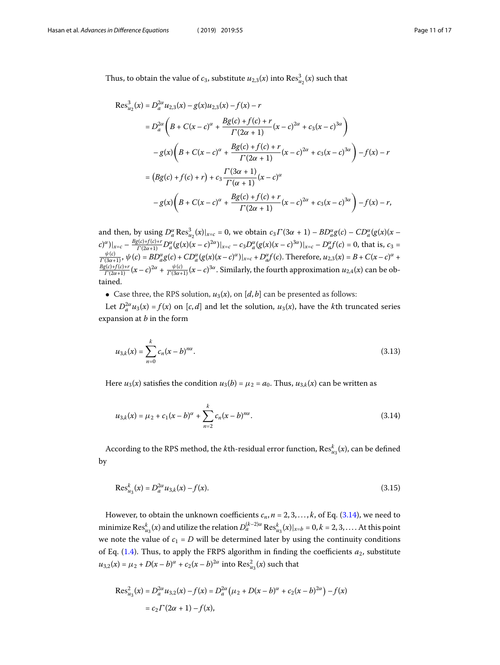Thus, to obtain the value of  $c_3$ , substitute  $u_{2,3}(x)$  into  $\operatorname{Res}^3_{u_2}(x)$  such that

$$
Res_{u_2}^{3}(x) = D_{a}^{2\alpha} u_{2,3}(x) - g(x)u_{2,3}(x) - f(x) - r
$$
  
\n
$$
= D_{a}^{2\alpha} \left( B + C(x - c)^{\alpha} + \frac{Bg(c) + f(c) + r}{\Gamma(2\alpha + 1)} (x - c)^{2\alpha} + c_{3}(x - c)^{3\alpha} \right)
$$
  
\n
$$
- g(x) \left( B + C(x - c)^{\alpha} + \frac{Bg(c) + f(c) + r}{\Gamma(2\alpha + 1)} (x - c)^{2\alpha} + c_{3}(x - c)^{3\alpha} \right) - f(x) - r
$$
  
\n
$$
= (Bg(c) + f(c) + r) + c_{3} \frac{\Gamma(3\alpha + 1)}{\Gamma(\alpha + 1)} (x - c)^{\alpha}
$$
  
\n
$$
- g(x) \left( B + C(x - c)^{\alpha} + \frac{Bg(c) + f(c) + r}{\Gamma(2\alpha + 1)} (x - c)^{2\alpha} + c_{3}(x - c)^{3\alpha} \right) - f(x) - r,
$$

and then, by using  $D_a^{\alpha} \text{Res}_{u_2}^3(x)|_{x=c} = 0$ , we obtain  $c_3 \Gamma(3\alpha + 1) - BD_a^{\alpha} g(c) - CD_a^{\alpha} (g(x)) (x$  $u_2(w) |_{x=c}$  - 0, we obtain  $c_3r$  (su + 1) -  $bD_{a}g(c)$  -  $cD_{a}$  $(c)^{\alpha})|_{x=c} - \frac{Bg(c)+f(c)+r}{\Gamma(2\alpha+1)}D^{\alpha}_{a}(g(x)(x-c)^{2\alpha})|_{x=c} - c_{3}D^{\alpha}_{a}(g(x)(x-c)^{3\alpha})|_{x=c} - D^{\alpha}_{a}f(c) = 0$ , that is,  $c_{3} =$  $\frac{\psi(c)}{\Gamma(3\alpha+1)}$ ,  $\psi(c) = BD^{\alpha}_{a}g(c) + CD^{\alpha}_{a}(g(x)(x-c)^{\alpha})|_{x=c} + D^{\alpha}_{a}f(c)$ . Therefore,  $u_{2,3}(x) = B + C(x-c)^{\alpha} + C(x-c)^{\alpha}$  $\frac{Bg(c)+f(c)+r}{\Gamma(2\alpha+1)}(x-c)^{2\alpha}+\frac{\psi(c)}{\Gamma(3\alpha+1)}(x-c)^{3\alpha}$ . Similarly, the fourth approximation  $u_{2,4}(x)$  can be obtained.

• Case three, the RPS solution,  $u_3(x)$ , on [d, b] can be presented as follows:

Let  $D_a^2 u_3(x) = f(x)$  on [c, d] and let the solution,  $u_3(x)$ , have the kth truncated series expansion at  $b$  in the form

<span id="page-10-0"></span>
$$
u_{3,k}(x) = \sum_{n=0}^{k} c_n (x - b)^{n\alpha}.
$$
\n(3.13)

Here  $u_3(x)$  satisfies the condition  $u_3(b) = \mu_2 = a_0$ . Thus,  $u_{3,k}(x)$  can be written as

$$
u_{3,k}(x) = \mu_2 + c_1(x - b)^{\alpha} + \sum_{n=2}^{k} c_n(x - b)^{n\alpha}.
$$
 (3.14)

According to the RPS method, the *k*th-residual error function,  $\operatorname{Res}^k_{u_3}(x)$ , can be defined by

$$
\text{Res}_{u_3}^k(x) = D_a^{2\alpha} u_{3,k}(x) - f(x). \tag{3.15}
$$

However, to obtain the unknown coefficients  $c_n$ ,  $n = 2, 3, \ldots, k$ , of Eq. [\(3.14](#page-10-0)), we need to minimize  $\text{Res}_{u_3}^k(x)$  and utilize the relation  $D_a^{(k-2)\alpha} \text{Res}_{u_3}^k(x)|_{x=b} = 0, k = 2, 3, \dots$ . At this point we note the value of  $c_1 = D$  will be determined later by using the continuity conditions ofEq. ([1.4\)](#page-2-0). Thus, to apply the FRPS algorithm in finding the coefficients  $a_2$ , substitute  $u_{3,2}(x) = \mu_2 + D(x - b)^{\alpha} + c_2(x - b)^{2\alpha}$  into  $\text{Res}_{u_3}^2(x)$  such that

$$
\text{Res}_{u_3}^2(x) = D_a^{2\alpha} u_{3,2}(x) - f(x) = D_a^{2\alpha} (\mu_2 + D(x - b)^{\alpha} + c_2 (x - b)^{2\alpha}) - f(x)
$$
  
=  $c_2 \Gamma(2\alpha + 1) - f(x)$ ,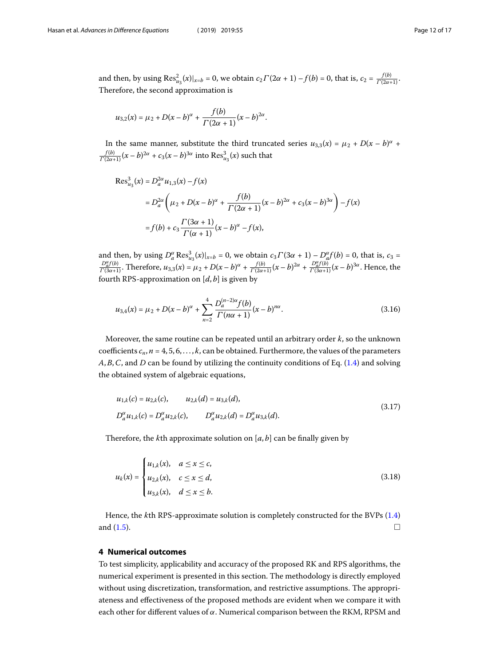and then, by using  $\text{Res}_{u_3}^2(x)|_{x=b} = 0$ , we obtain  $c_2\Gamma(2\alpha + 1) - f(b) = 0$ , that is,  $c_2 = \frac{f(b)}{\Gamma(2\alpha+1)}$ . Therefore, the second approximation is

$$
u_{3,2}(x) = \mu_2 + D(x - b)^{\alpha} + \frac{f(b)}{\Gamma(2\alpha + 1)}(x - b)^{2\alpha}.
$$

In the same manner, substitute the third truncated series  $u_{3,3}(x) = \mu_2 + D(x - b)^{\alpha} +$  $\frac{f(b)}{\Gamma(2\alpha+1)}(x-b)^{2\alpha}+c_3(x-b)^{3\alpha}$  into  $\mathrm{Res}^3_{u_3}(x)$  such that

$$
Res_{u_3}^{3}(x) = D_{a}^{2\alpha} u_{1,3}(x) - f(x)
$$
  
=  $D_{a}^{2\alpha} \left( \mu_{2} + D(x - b)^{\alpha} + \frac{f(b)}{\Gamma(2\alpha + 1)} (x - b)^{2\alpha} + c_{3}(x - b)^{3\alpha} \right) - f(x)$   
=  $f(b) + c_{3} \frac{\Gamma(3\alpha + 1)}{\Gamma(\alpha + 1)} (x - b)^{\alpha} - f(x),$ 

and then, by using  $D_a^{\alpha} \text{Res}_{u_3}^3(x)|_{x=b} = 0$ , we obtain  $c_3 \Gamma(3\alpha + 1) - D_a^{\alpha} f(b) = 0$ , that is,  $c_3 = \frac{D_a^{\alpha} f(b)}{\Gamma(3\alpha+1)}$ . Therefore,  $u_{3,3}(x) = \mu_2 + D(x - b)^{\alpha} + \frac{f(b)}{\Gamma(2\alpha+1)}(x - b)^{2\alpha} + \frac{D_a^{\alpha} f(b)}{\Gamma(3\alpha+1)}(x - b)^{3\alpha}$ . fourth RPS-approximation on  $[d, b]$  is given by

$$
u_{3,4}(x) = \mu_2 + D(x - b)^{\alpha} + \sum_{n=2}^{4} \frac{D_a^{(n-2)\alpha} f(b)}{\Gamma(n\alpha + 1)} (x - b)^{n\alpha}.
$$
 (3.16)

Moreover, the same routine can be repeated until an arbitrary order  $k$ , so the unknown coefficients  $c_n$ ,  $n = 4, 5, 6, \ldots, k$ , can be obtained. Furthermore, the values of the parameters  $A, B, C$ , and D can be found by utilizing the continuity conditions of Eq. [\(1.4](#page-2-0)) and solving the obtained system of algebraic equations,

$$
u_{1,k}(c) = u_{2,k}(c), \qquad u_{2,k}(d) = u_{3,k}(d),
$$
  
\n
$$
D_a^{\alpha} u_{1,k}(c) = D_a^{\alpha} u_{2,k}(c), \qquad D_a^{\alpha} u_{2,k}(d) = D_a^{\alpha} u_{3,k}(d).
$$
\n(3.17)

Therefore, the kth approximate solution on  $[a, b]$  can be finally given by

$$
u_k(x) = \begin{cases} u_{1,k}(x), & a \le x \le c, \\ u_{2,k}(x), & c \le x \le d, \\ u_{3,k}(x), & d \le x \le b. \end{cases}
$$
 (3.18)

<span id="page-11-0"></span>Hence, the kth RPS-approximate solution is completely constructed for the BVPs [\(1.4](#page-2-0)) and  $(1.5)$ .

### **4 Numerical outcomes**

To test simplicity, applicability and accuracy of the proposed RK and RPS algorithms, the numerical experiment is presented in this section. The methodology is directly employed without using discretization, transformation, and restrictive assumptions. The appropriateness and effectiveness of the proposed methods are evident when we compare it with each other for different values of  $\alpha$ . Numerical comparison between the RKM, RPSM and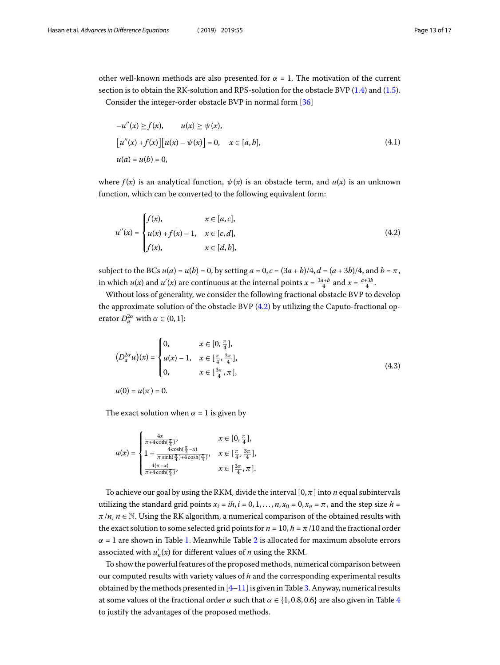other well-known methods are also presented for  $\alpha = 1$ . The motivation of the current section is to obtain the RK-solution and RPS-solution for the obstacle BVP [\(1.4](#page-2-0)) and([1.5\)](#page-2-1).

Consider the integer-order obstacle BVP in normal form [\[36](#page-16-10)]

<span id="page-12-0"></span>
$$
-u''(x) \ge f(x), \qquad u(x) \ge \psi(x),
$$
  
\n
$$
[u''(x) + f(x)][u(x) - \psi(x)] = 0, \quad x \in [a, b],
$$
  
\n
$$
u(a) = u(b) = 0,
$$
\n(4.1)

where  $f(x)$  is an analytical function,  $\psi(x)$  is an obstacle term, and  $u(x)$  is an unknown function, which can be converted to the following equivalent form:

$$
u''(x) = \begin{cases} f(x), & x \in [a, c], \\ u(x) + f(x) - 1, & x \in [c, d], \\ f(x), & x \in [d, b], \end{cases}
$$
(4.2)

subject to the BCs  $u(a) = u(b) = 0$ , by setting  $a = 0$ ,  $c = (3a + b)/4$ ,  $d = (a + 3b)/4$ , and  $b = \pi$ , in which  $u(x)$  and  $u'(x)$  are continuous at the internal points  $x = \frac{3a+b}{4}$  and  $x = \frac{a+3b}{4}$ .

Without loss of generality, we consider the following fractional obstacle BVP to develop the approximate solution of the obstacle BVP [\(4.2](#page-12-0)) by utilizing the Caputo-fractional operator  $D_a^{2\alpha}$  with  $\alpha \in (0,1]$ :

<span id="page-12-1"></span>
$$
(D_a^{2\alpha} u)(x) = \begin{cases} 0, & x \in [0, \frac{\pi}{4}], \\ u(x) - 1, & x \in [\frac{\pi}{4}, \frac{3\pi}{4}], \\ 0, & x \in [\frac{3\pi}{4}, \pi], \end{cases}
$$
(4.3)  

$$
u(0) = u(\pi) = 0.
$$

The exact solution when  $\alpha = 1$  is given by

$$
u(x) = \begin{cases} \frac{4x}{\pi + 4 \cosh(\frac{\pi}{4})}, & x \in [0, \frac{\pi}{4}],\\ 1 - \frac{4 \cosh(\frac{\pi}{2} - x)}{\pi \sinh(\frac{\pi}{4}) + 4 \cosh(\frac{\pi}{4})}, & x \in [\frac{\pi}{4}, \frac{3\pi}{4}],\\ \frac{4(\pi - x)}{\pi + 4 \cosh(\frac{\pi}{4})}, & x \in [\frac{3\pi}{4}, \pi]. \end{cases}
$$

To achieve our goal by using the RKM, divide the interval [0,  $\pi$ ] into *n* equal subintervals utilizing the standard grid points  $x_i = ih$ ,  $i = 0, 1, ..., n$ ,  $x_0 = 0$ ,  $x_n = \pi$ , and the step size  $h =$  $\pi/n$ ,  $n \in \mathbb{N}$ . Using the RK algorithm, a numerical comparison of the obtained results with the exact solution to some selected grid points for  $n = 10$ ,  $h = \pi/10$  and the fractional order  $\alpha$  = [1](#page-13-0) are shown in Table 1. Meanwhile Table [2](#page-13-1) is allocated for maximum absolute errors associated with  $u'_n(x)$  for different values of *n* using the RKM.

To show the powerful features of the proposed methods, numerical comparison between our computed results with variety values of  $h$  and the corresponding experimental results obtained by the methods presented in [\[4](#page-15-5)[–11](#page-15-11)] is given in Table [3.](#page-13-2) Anyway, numerical results at some values of the fractional order  $\alpha$  such that  $\alpha \in \{1, 0.8, 0.6\}$  are also given in Table [4](#page-13-3) to justify the advantages of the proposed methods.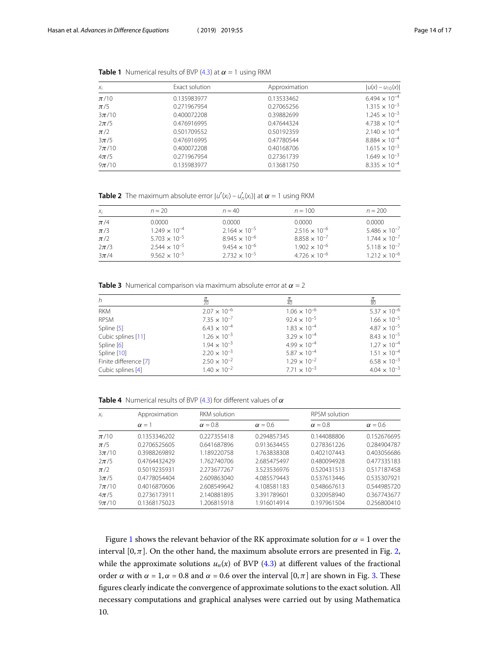<span id="page-13-1"></span>

| $X_i$     | Exact solution | Approximation | $ u(x) - u_{10}(x) $   |  |
|-----------|----------------|---------------|------------------------|--|
| $\pi/10$  | 0.135983977    | 0.13533462    | $6.494 \times 10^{-4}$ |  |
| $\pi/5$   | 0.271967954    | 0.27065256    | $1.315 \times 10^{-3}$ |  |
| $3\pi/10$ | 0.400072208    | 0.39882699    | $1.245 \times 10^{-3}$ |  |
| $2\pi/5$  | 0.476916995    | 0.47644324    | $4.738 \times 10^{-4}$ |  |
| $\pi/2$   | 0.501709552    | 0.50192359    | $2.140 \times 10^{-4}$ |  |
| $3\pi/5$  | 0.476916995    | 0.47780544    | $8.884 \times 10^{-4}$ |  |
| $7\pi/10$ | 0.400072208    | 0.40168706    | $1.615 \times 10^{-3}$ |  |
| $4\pi/5$  | 0.271967954    | 0.27361739    | $1.649 \times 10^{-3}$ |  |
| $9\pi/10$ | 0.135983977    | 0.13681750    | $8.335 \times 10^{-4}$ |  |

<span id="page-13-0"></span>**Table 1** Numerical results of BVP [\(4.3\)](#page-12-1) at  $\alpha = 1$  using RKM

**Table 2** The maximum absolute error  $|u'(x_i) - u'_n(x_i)|$  at  $\alpha = 1$  using RKM

<span id="page-13-2"></span>

| $X_i$    | $n = 20$               | $n = 40$               | $n = 100$              | $n = 200$              |
|----------|------------------------|------------------------|------------------------|------------------------|
| $\pi/4$  | 0.0000                 | 0.0000                 | 0.0000                 | 0.0000                 |
| $\pi/3$  | $1.249 \times 10^{-4}$ | $2.164 \times 10^{-5}$ | $2.516 \times 10^{-6}$ | $5.486 \times 10^{-7}$ |
| $\pi/2$  | $5.703 \times 10^{-5}$ | $8.945 \times 10^{-6}$ | $8.858 \times 10^{-7}$ | $1.744 \times 10^{-7}$ |
| $2\pi/3$ | $2.544 \times 10^{-5}$ | $9.454 \times 10^{-6}$ | $1.902 \times 10^{-6}$ | $5.118 \times 10^{-7}$ |
| $3\pi/4$ | $9.562 \times 10^{-5}$ | $2.732 \times 10^{-5}$ | $4.726 \times 10^{-6}$ | $1.212 \times 10^{-6}$ |

**Table 3** Numerical comparison via maximum absolute error at  $\alpha = 2$ 

<span id="page-13-3"></span>

| h                     | $rac{\pi}{20}$        |                       | $\frac{\pi}{80}$      |
|-----------------------|-----------------------|-----------------------|-----------------------|
| RKM                   | $2.07 \times 10^{-6}$ | $1.06 \times 10^{-6}$ | $5.37 \times 10^{-6}$ |
| <b>RPSM</b>           | $7.35 \times 10^{-7}$ | $92.4 \times 10^{-5}$ | $1.66 \times 10^{-5}$ |
| Spline [5]            | $6.43 \times 10^{-4}$ | $1.83 \times 10^{-4}$ | $4.87 \times 10^{-5}$ |
| Cubic splines [11]    | $1.26 \times 10^{-3}$ | $3.29 \times 10^{-4}$ | $8.43 \times 10^{-5}$ |
| Spline [6]            | $1.94 \times 10^{-3}$ | $4.99 \times 10^{-4}$ | $1.27 \times 10^{-4}$ |
| Spline [10]           | $2.20 \times 10^{-3}$ | $5.87 \times 10^{-4}$ | $1.51 \times 10^{-4}$ |
| Finite difference [7] | $2.50 \times 10^{-2}$ | $1.29 \times 10^{-2}$ | $6.58 \times 10^{-3}$ |
| Cubic splines [4]     | $1.40 \times 10^{-2}$ | $7.71 \times 10^{-3}$ | $4.04 \times 10^{-3}$ |

**Table 4** Numerical results of BVP [\(4.3\)](#page-12-1) for different values of  $\alpha$ 

| $X_i$     | Approximation | <b>RKM</b> solution |                |                | <b>RPSM</b> solution |  |
|-----------|---------------|---------------------|----------------|----------------|----------------------|--|
|           | $\alpha = 1$  | $\alpha = 0.8$      | $\alpha = 0.6$ | $\alpha = 0.8$ | $\alpha = 0.6$       |  |
| $\pi/10$  | 0.1353346202  | 0.227355418         | 0.294857345    | 0.144088806    | 0.152676695          |  |
| $\pi/5$   | 0.2706525605  | 0.641687896         | 0.913634455    | 0.278361226    | 0.284904787          |  |
| $3\pi/10$ | 0.3988269892  | 1.189220758         | 1.763838308    | 0.402107443    | 0.403056686          |  |
| $2\pi/5$  | 0.4764432429  | 1.762740706         | 2.685475497    | 0.480094928    | 0.477335183          |  |
| $\pi/2$   | 0.5019235931  | 2.273677267         | 3.523536976    | 0.520431513    | 0.517187458          |  |
| $3\pi/5$  | 0.4778054404  | 2.609863040         | 4.085579443    | 0.537613446    | 0.535307921          |  |
| $7\pi/10$ | 0.4016870606  | 2.608549642         | 4.108581183    | 0.548667613    | 0.544985720          |  |
| $4\pi/5$  | 0.2736173911  | 2.140881895         | 3.391789601    | 0.320958940    | 0.367743677          |  |
| $9\pi/10$ | 0.1368175023  | 1.206815918         | 1.916014914    | 0.197961504    | 0.256800410          |  |

Figure [1](#page-14-1) shows the relevant behavior of the RK approximate solution for  $\alpha = 1$  over the interval  $[0, \pi]$ . On the other hand, the maximum absolute errors are presented in Fig. [2](#page-14-2), while the approximate solutions  $u_n(x)$  of BVP [\(4.3](#page-12-1)) at different values of the fractional order  $\alpha$  with  $\alpha = 1, \alpha = 0.8$  and  $\alpha = 0.6$  over the interval  $[0, \pi]$  are shown in Fig. [3.](#page-14-3) These figures clearly indicate the convergence of approximate solutions to the exact solution. All necessary computations and graphical analyses were carried out by using Mathematica 10.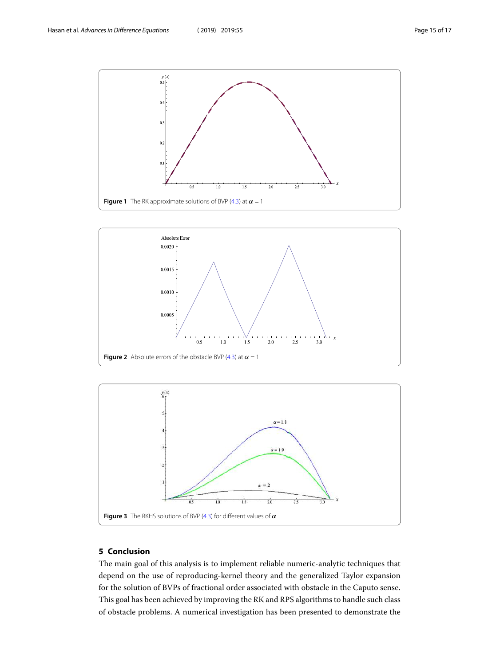<span id="page-14-1"></span>

<span id="page-14-2"></span>

<span id="page-14-3"></span>

## <span id="page-14-0"></span>**5 Conclusion**

The main goal of this analysis is to implement reliable numeric-analytic techniques that depend on the use of reproducing-kernel theory and the generalized Taylor expansion for the solution of BVPs of fractional order associated with obstacle in the Caputo sense. This goal has been achieved by improving the RK and RPS algorithms to handle such class of obstacle problems. A numerical investigation has been presented to demonstrate the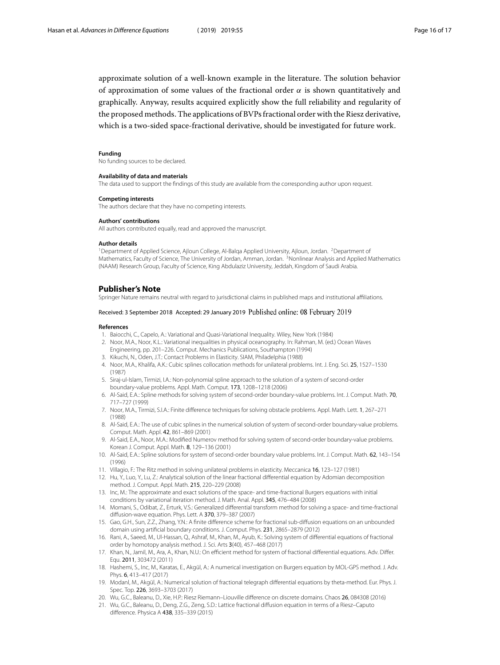approximate solution of a well-known example in the literature. The solution behavior of approximation of some values of the fractional order  $\alpha$  is shown quantitatively and graphically. Anyway, results acquired explicitly show the full reliability and regularity of the proposed methods. The applications of BVPs fractional order with the Riesz derivative, which is a two-sided space-fractional derivative, should be investigated for future work.

#### **Funding**

No funding sources to be declared.

#### <span id="page-15-2"></span><span id="page-15-1"></span><span id="page-15-0"></span>**Availability of data and materials**

The data used to support the findings of this study are available from the corresponding author upon request.

#### **Competing interests**

**Authors' contributions**

The authors declare that they have no competing interests.

# All authors contributed equally, read and approved the manuscript.

#### **Author details**

<span id="page-15-3"></span><sup>1</sup> Department of Applied Science, Ajloun College, Al-Balqa Applied University, Ajloun, Jordan. <sup>2</sup>Department of Mathematics, Faculty of Science, The University of Jordan, Amman, Jordan. <sup>3</sup>Nonlinear Analysis and Applied Mathematics (NAAM) Research Group, Faculty of Science, King Abdulaziz University, Jeddah, Kingdom of Saudi Arabia.

#### <span id="page-15-5"></span><span id="page-15-4"></span>**Publisher's Note**

<span id="page-15-7"></span>Springer Nature remains neutral with regard to jurisdictional claims in published maps and institutional affiliations.

#### <span id="page-15-22"></span>Received: 3 September 2018 Accepted: 29 January 2019

#### <span id="page-15-6"></span>**References**

- 1. Baiocchi, C., Capelo, A.: Variational and Quasi-Variational Inequality. Wiley, New York (1984)
- 2. Noor, M.A., Noor, K.L.: Variational inequalities in physical oceanography. In: Rahman, M. (ed.) Ocean Waves
- <span id="page-15-8"></span>Engineering, pp. 201–226. Comput. Mechanics Publications, Southampton (1994)
- 3. Kikuchi, N., Oden, J.T.: Contact Problems in Elasticity. SIAM, Philadelphia (1988)
- <span id="page-15-9"></span>4. Noor, M.A., Khalifa, A.K.: Cubic splines collocation methods for unilateral problems. Int. J. Eng. Sci. 25, 1527–1530 (1987)
- <span id="page-15-10"></span>5. Siraj-ul-Islam, Tirmizi, I.A.: Non-polynomial spline approach to the solution of a system of second-order boundary-value problems. Appl. Math. Comput. 173, 1208–1218 (2006)
- <span id="page-15-11"></span>6. Al-Said, E.A.: Spline methods for solving system of second-order boundary-value problems. Int. J. Comput. Math. 70, 717–727 (1999)
- <span id="page-15-13"></span><span id="page-15-12"></span>7. Noor, M.A., Tirmizi, S.I.A.: Finite difference techniques for solving obstacle problems. Appl. Math. Lett. 1, 267–271 (1988)
- <span id="page-15-14"></span>8. Al-Said, E.A.: The use of cubic splines in the numerical solution of system of second-order boundary-value problems. Comput. Math. Appl. 42, 861–869 (2001)
- 9. Al-Said, E.A., Noor, M.A.: Modified Numerov method for solving system of second-order boundary-value problems. Korean J. Comput. Appl. Math. 8, 129–136 (2001)
- <span id="page-15-16"></span><span id="page-15-15"></span>10. Al-Said, E.A.: Spline solutions for system of second-order boundary value problems. Int. J. Comput. Math. 62, 143–154 (1996)
- 11. Villagio, F.: The Ritz method in solving unilateral problems in elasticity. Meccanica 16, 123–127 (1981)
- <span id="page-15-17"></span>12. Hu, Y., Luo, Y., Lu, Z.: Analytical solution of the linear fractional differential equation by Adomian decomposition method. J. Comput. Appl. Math. 215, 220–229 (2008)
- <span id="page-15-18"></span>13. Inc, M.: The approximate and exact solutions of the space- and time-fractional Burgers equations with initial conditions by variational iteration method. J. Math. Anal. Appl. 345, 476–484 (2008)
- <span id="page-15-19"></span>14. Momani, S., Odibat, Z., Erturk, V.S.: Generalized differential transform method for solving a space- and time-fractional diffusion-wave equation. Phys. Lett. A 370, 379–387 (2007)
- <span id="page-15-20"></span>15. Gao, G.H., Sun, Z.Z., Zhang, Y.N.: A finite difference scheme for fractional sub-diffusion equations on an unbounded domain using artificial boundary conditions. J. Comput. Phys. 231, 2865–2879 (2012)
- <span id="page-15-21"></span>16. Rani, A., Saeed, M., Ul-Hassan, Q., Ashraf, M., Khan, M., Ayub, K.: Solving system of differential equations of fractional order by homotopy analysis method. J. Sci. Arts 3(40), 457–468 (2017)
- 17. Khan, N., Jamil, M., Ara, A., Khan, N.U.: On efficient method for system of fractional differential equations. Adv. Differ. Equ. 2011, 303472 (2011)
- 18. Hashemi, S., Inc, M., Karatas, E., Akgül, A.: A numerical investigation on Burgers equation by MOL-GPS method. J. Adv. Phys. 6, 413–417 (2017)
- 19. Modanl, M., Akgül, A.: Numerical solution of fractional telegraph differential equations by theta-method. Eur. Phys. J. Spec. Top. 226, 3693–3703 (2017)
- 20. Wu, G.C., Baleanu, D., Xie, H.P.: Riesz Riemann–Liouville difference on discrete domains. Chaos 26, 084308 (2016)
- 21. Wu, G.C., Baleanu, D., Deng, Z.G., Zeng, S.D.: Lattice fractional diffusion equation in terms of a Riesz–Caputo difference. Physica A 438, 335–339 (2015)